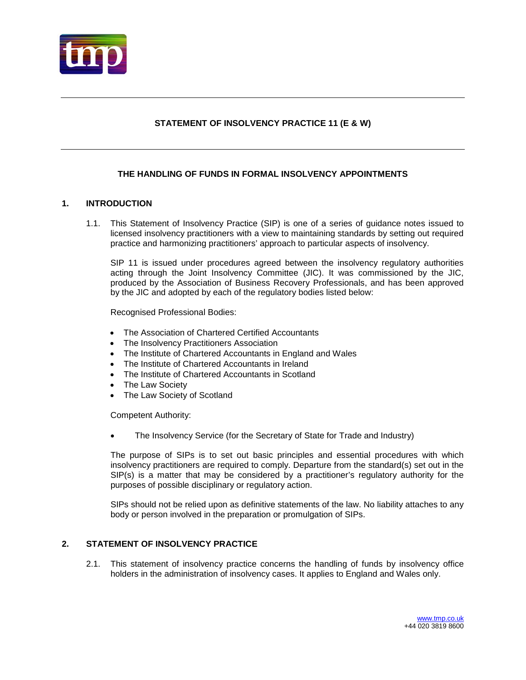

## **STATEMENT OF INSOLVENCY PRACTICE 11 (E & W)**

## **THE HANDLING OF FUNDS IN FORMAL INSOLVENCY APPOINTMENTS**

## **1. INTRODUCTION**

1.1. This Statement of Insolvency Practice (SIP) is one of a series of guidance notes issued to licensed insolvency practitioners with a view to maintaining standards by setting out required practice and harmonizing practitioners' approach to particular aspects of insolvency.

SIP 11 is issued under procedures agreed between the insolvency regulatory authorities acting through the Joint Insolvency Committee (JIC). It was commissioned by the JIC, produced by the Association of Business Recovery Professionals, and has been approved by the JIC and adopted by each of the regulatory bodies listed below:

Recognised Professional Bodies:

- The Association of Chartered Certified Accountants
- The Insolvency Practitioners Association
- The Institute of Chartered Accountants in England and Wales
- The Institute of Chartered Accountants in Ireland
- The Institute of Chartered Accountants in Scotland
- The Law Society
- The Law Society of Scotland

Competent Authority:

• The Insolvency Service (for the Secretary of State for Trade and Industry)

The purpose of SIPs is to set out basic principles and essential procedures with which insolvency practitioners are required to comply. Departure from the standard(s) set out in the SIP(s) is a matter that may be considered by a practitioner's regulatory authority for the purposes of possible disciplinary or regulatory action.

SIPs should not be relied upon as definitive statements of the law. No liability attaches to any body or person involved in the preparation or promulgation of SIPs.

## **2. STATEMENT OF INSOLVENCY PRACTICE**

2.1. This statement of insolvency practice concerns the handling of funds by insolvency office holders in the administration of insolvency cases. It applies to England and Wales only.